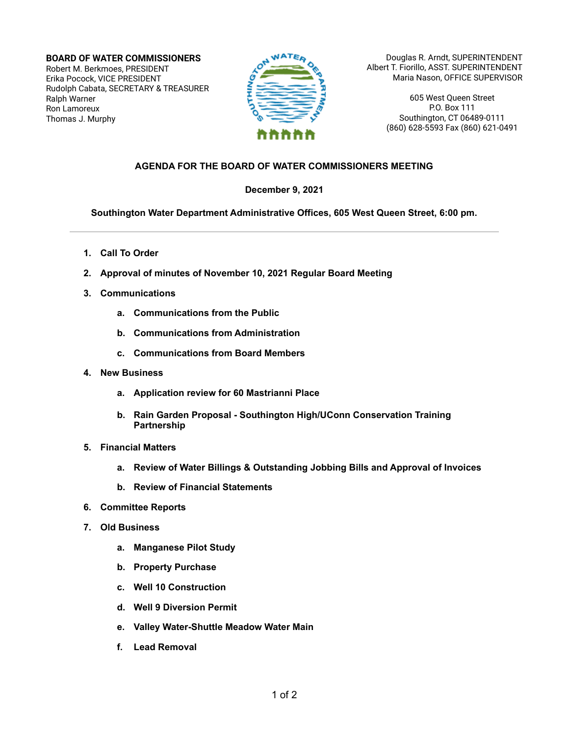**BOARD OF WATER COMMISSIONERS** Robert M. Berkmoes, PRESIDENT Erika Pocock, VICE PRESIDENT Rudolph Cabata, SECRETARY & TREASURER Ralph Warner Ron Lamoreux Thomas J. Murphy



Douglas R. Arndt, SUPERINTENDENT Albert T. Fiorillo, ASST. SUPERINTENDENT Maria Nason, OFFICE SUPERVISOR

> 605 West Queen Street P.O. Box 111 Southington, CT 06489-0111 (860) 628-5593 Fax (860) 621-0491

## **AGENDA FOR THE BOARD OF WATER COMMISSIONERS MEETING**

## **December 9, 2021**

**Southington Water Department Administrative Offices, 605 West Queen Street, 6:00 pm.**

- **1. Call To Order**
- **2. Approval of minutes of November 10, 2021 Regular Board Meeting**
- **3. Communications**
	- **a. Communications from the Public**
	- **b. Communications from Administration**
	- **c. Communications from Board Members**
- **4. New Business**
	- **a. Application review for 60 Mastrianni Place**
	- **b. Rain Garden Proposal - Southington High/UConn Conservation Training Partnership**
- **5. Financial Matters**
	- **a. Review of Water Billings & Outstanding Jobbing Bills and Approval of Invoices**
	- **b. Review of Financial Statements**
- **6. Committee Reports**
- **7. Old Business**
	- **a. Manganese Pilot Study**
	- **b. Property Purchase**
	- **c. Well 10 Construction**
	- **d. Well 9 Diversion Permit**
	- **e. Valley Water-Shuttle Meadow Water Main**
	- **f. Lead Removal**